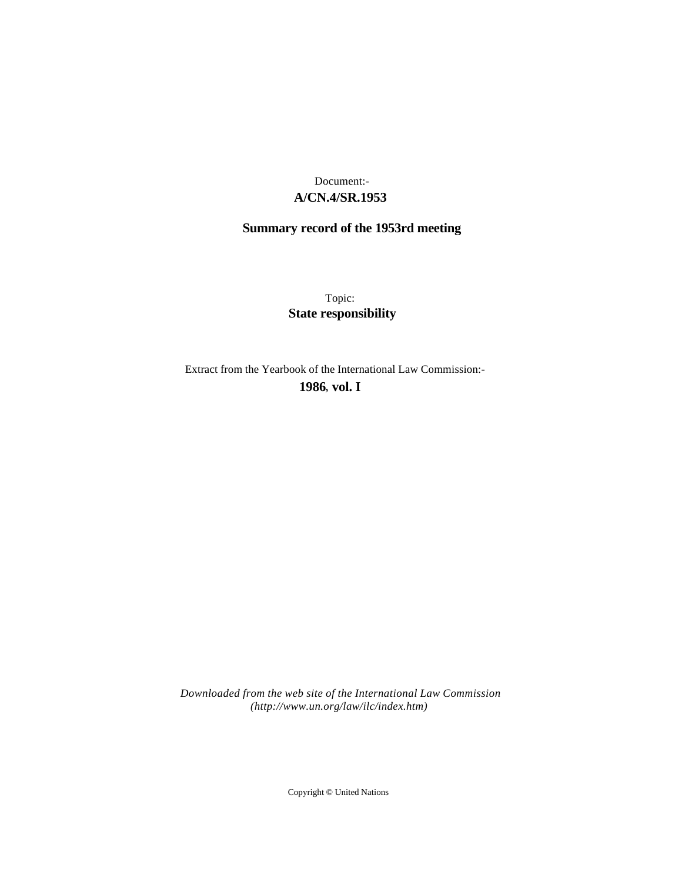## **A/CN.4/SR.1953** Document:-

# **Summary record of the 1953rd meeting**

Topic: **State responsibility**

Extract from the Yearbook of the International Law Commission:-

**1986** , **vol. I**

*Downloaded from the web site of the International Law Commission (http://www.un.org/law/ilc/index.htm)*

Copyright © United Nations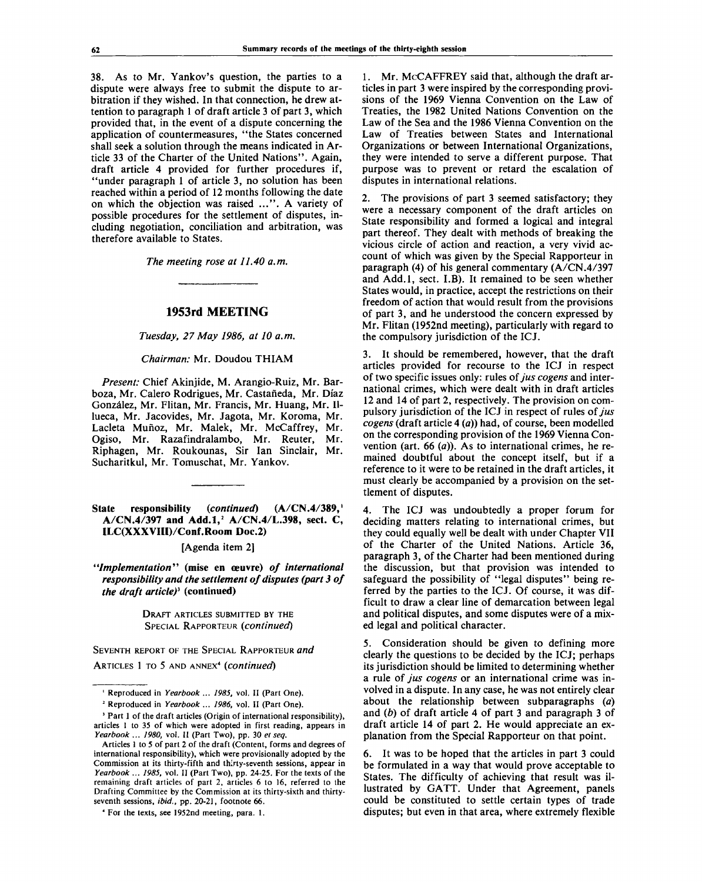38. As to Mr. Yankov's question, the parties to a dispute were always free to submit the dispute to arbitration if they wished. In that connection, he drew attention to paragraph 1 of draft article 3 of part 3, which provided that, in the event of a dispute concerning the application of countermeasures, "the States concerned shall seek a solution through the means indicated in Article 33 of the Charter of the United Nations". Again, draft article 4 provided for further procedures if, "under paragraph 1 of article 3, no solution has been reached within a period of 12 months following the date on which the objection was raised ...". A variety of possible procedures for the settlement of disputes, including negotiation, conciliation and arbitration, was therefore available to States.

*The meeting rose at 11.40 a.m.*

#### **1953rd MEETING**

*Tuesday, 27 May 1986, at 10 a.m.*

*Chairman:* Mr. Doudou THIAM

*Present:* Chief Akinjide, M. Arangio-Ruiz, Mr. Barboza, Mr. Calero Rodrigues, Mr. Castaneda, Mr. Diaz Gonzalez, Mr. Flitan, Mr. Francis, Mr. Huang, Mr. IIlueca, Mr. Jacovides, Mr. Jagota, Mr. Koroma, Mr. Lacleta Mufioz, Mr. Malek, Mr. McCaffrey, Mr. Ogiso, Mr. Razafindralambo, Mr. Reuter, Mr. Riphagen, Mr. Roukounas, Sir Ian Sinclair, Mr. Sucharitkul, Mr. Tomuschat, Mr. Yankov.

**State responsibility** *{continued)* **(A/CN.4/389,<sup>1</sup> A/CN.4/397 and Add.l,<sup>2</sup> A/CN.4/L.398, sect. C, ILC(XXXVIII)/Conf.Room Doc.2)**

[Agenda item 2]

*"Implementation"* **(mise en ceuvre)** *of international responsibility and the settlement of disputes (part 3 of the draft article)\** **(continued)**

> DRAFT ARTICLES SUBMITTED BY THE SPECIAL RAPPORTEUR *(continued)*

SEVENTH REPORT OF THE SPECIAL RAPPORTEUR *and* ARTICLES 1 TO 5 AND ANNEX<sup>4</sup>  *(continued)*

1. Mr. McCAFFREY said that, although the draft articles in part 3 were inspired by the corresponding provisions of the 1969 Vienna Convention on the Law of Treaties, the 1982 United Nations Convention on the Law of the Sea and the 1986 Vienna Convention on the Law of Treaties between States and International Organizations or between International Organizations, they were intended to serve a different purpose. That purpose was to prevent or retard the escalation of disputes in international relations.

2. The provisions of part 3 seemed satisfactory; they were a necessary component of the draft articles on State responsibility and formed a logical and integral part thereof. They dealt with methods of breaking the vicious circle of action and reaction, a very vivid account of which was given by the Special Rapporteur in paragraph (4) of his general commentary (A/CN.4/397 and Add.l, sect. I.B). It remained to be seen whether States would, in practice, accept the restrictions on their freedom of action that would result from the provisions of part 3, and he understood the concern expressed by Mr. Flitan (1952nd meeting), particularly with regard to the compulsory jurisdiction of the ICJ.

3. It should be remembered, however, that the draft articles provided for recourse to the ICJ in respect of two specific issues only: rules of *jus cogens* and international crimes, which were dealt with in draft articles 12 and 14 of part 2, respectively. The provision on compulsory jurisdiction of the ICJ in respect of rules *of jus cogens* (draft article 4 *(a))* had, of course, been modelled on the corresponding provision of the 1969 Vienna Convention (art. 66 *(a)).* As to international crimes, he remained doubtful about the concept itself, but if a reference to it were to be retained in the draft articles, it must clearly be accompanied by a provision on the settlement of disputes.

4. The ICJ was undoubtedly a proper forum for deciding matters relating to international crimes, but they could equally well be dealt with under Chapter VII of the Charter of the United Nations. Article 36, paragraph 3, of the Charter had been mentioned during the discussion, but that provision was intended to safeguard the possibility of "legal disputes" being referred by the parties to the ICJ. Of course, it was difficult to draw a clear line of demarcation between legal and political disputes, and some disputes were of a mixed legal and political character.

5. Consideration should be given to defining more clearly the questions to be decided by the ICJ; perhaps its jurisdiction should be limited to determining whether a rule of *jus cogens* or an international crime was involved in a dispute. In any case, he was not entirely clear about the relationship between subparagraphs *(a)* and *(b)* of draft article 4 of part 3 and paragraph 3 of draft article 14 of part 2. He would appreciate an explanation from the Special Rapporteur on that point.

6. It was to be hoped that the articles in part 3 could be formulated in a way that would prove acceptable to States. The difficulty of achieving that result was illustrated by GATT. Under that Agreement, panels could be constituted to settle certain types of trade disputes; but even in that area, where extremely flexible

<sup>&</sup>lt;sup>1</sup> Reproduced in Yearbook ... 1985, vol. II (Part One).

<sup>2</sup> Reproduced in *Yearbook ... 1986,* vol. II (Part One).

<sup>&</sup>lt;sup>3</sup> Part 1 of the draft articles (Origin of international responsibility), articles 1 to 35 of which were adopted in first reading, appears in *Yearbook ... 1980,* vol. II (Part Two), pp. 30 *et seq.*

Articles 1 to 5 of part 2 of the draft (Content, forms and degrees of international responsibility), which were provisionally adopted by the Commission at its thirty-fifth and thirty-seventh sessions, appear in *Yearbook ... 1985,* vol. II (Part Two), pp. 24-25. For the texts of the remaining draft articles of part 2, articles 6 to 16, referred to the Drafting Committee by the Commission at its thirty-sixth and thirtyseventh sessions, *ibid.,* pp. 20-21, footnote 66.

<sup>4</sup> For the texts, see 1952nd meeting, para. 1.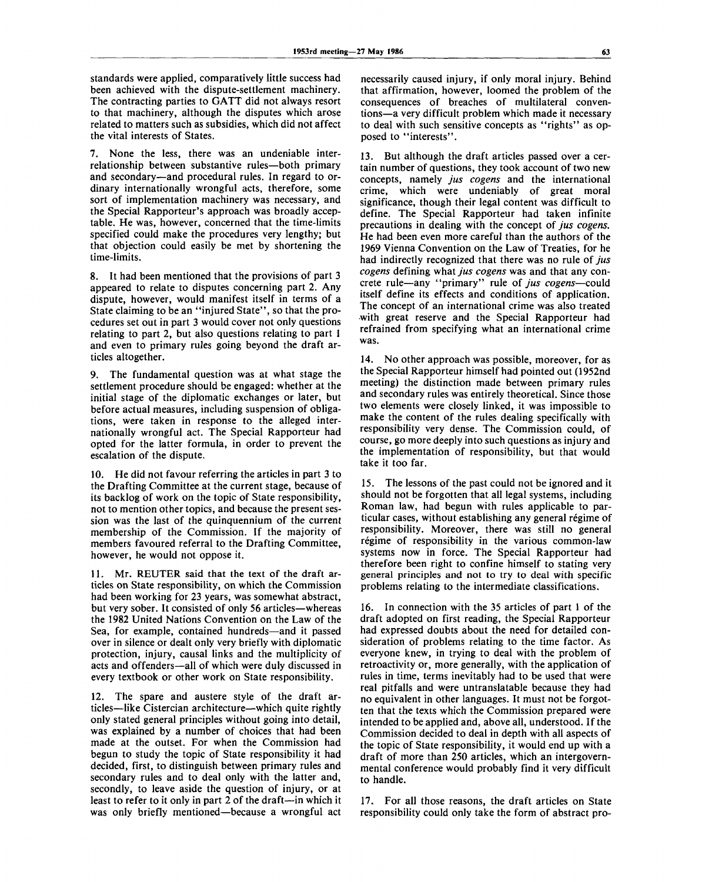standards were applied, comparatively little success had been achieved with the dispute-settlement machinery. The contracting parties to GATT did not always resort to that machinery, although the disputes which arose related to matters such as subsidies, which did not affect the vital interests of States.

7. None the less, there was an undeniable interrelationship between substantive rules—both primary and secondary—and procedural rules. In regard to ordinary internationally wrongful acts, therefore, some sort of implementation machinery was necessary, and the Special Rapporteur's approach was broadly acceptable. He was, however, concerned that the time-limits specified could make the procedures very lengthy; but that objection could easily be met by shortening the time-limits.

8. It had been mentioned that the provisions of part 3 appeared to relate to disputes concerning part 2. Any dispute, however, would manifest itself in terms of a State claiming to be an ''injured State", so that the procedures set out in part 3 would cover not only questions relating to part 2, but also questions relating to part 1 and even to primary rules going beyond the draft articles altogether.

9. The fundamental question was at what stage the settlement procedure should be engaged: whether at the initial stage of the diplomatic exchanges or later, but before actual measures, including suspension of obligations, were taken in response to the alleged internationally wrongful act. The Special Rapporteur had opted for the latter formula, in order to prevent the escalation of the dispute.

10. He did not favour referring the articles in part 3 to the Drafting Committee at the current stage, because of its backlog of work on the topic of State responsibility, not to mention other topics, and because the present session was the last of the quinquennium of the current membership of the Commission. If the majority of members favoured referral to the Drafting Committee, however, he would not oppose it.

11. Mr. REUTER said that the text of the draft articles on State responsibility, on which the Commission had been working for 23 years, was somewhat abstract, but very sober. It consisted of only 56 articles—whereas the 1982 United Nations Convention on the Law of the Sea, for example, contained hundreds—and it passed over in silence or dealt only very briefly with diplomatic protection, injury, causal links and the multiplicity of acts and offenders—all of which were duly discussed in every textbook or other work on State responsibility.

12. The spare and austere style of the draft articles—like Cistercian architecture—which quite rightly only stated general principles without going into detail, was explained by a number of choices that had been made at the outset. For when the Commission had begun to study the topic of State responsibility it had decided, first, to distinguish between primary rules and secondary rules and to deal only with the latter and, secondly, to leave aside the question of injury, or at least to refer to it only in part 2 of the draft—in which it was only briefly mentioned—because a wrongful act

necessarily caused injury, if only moral injury. Behind that affirmation, however, loomed the problem of the consequences of breaches of multilateral conventions—a very difficult problem which made it necessary to deal with such sensitive concepts as "rights" as opposed to "interests".

13. But although the draft articles passed over a certain number of questions, they took account of two new concepts, namely *jus cogens* and the international crime, which were undeniably of great moral significance, though their legal content was difficult to define. The Special Rapporteur had taken infinite precautions in dealing with the concept of *jus cogens.* He had been even more careful than the authors of the 1969 Vienna Convention on the Law of Treaties, for he had indirectly recognized that there was no rule of *jus cogens* defining what *jus cogens* was and that any concrete rule—any "primary" rule of *jus cogens*—could itself define its effects and conditions of application. The concept of an international crime was also treated with great reserve and the Special Rapporteur had refrained from specifying what an international crime was.

14. No other approach was possible, moreover, for as the Special Rapporteur himself had pointed out (1952nd meeting) the distinction made between primary rules and secondary rules was entirely theoretical. Since those two elements were closely linked, it was impossible to make the content of the rules dealing specifically with responsibility very dense. The Commission could, of course, go more deeply into such questions as injury and the implementation of responsibility, but that would take it too far.

15. The lessons of the past could not be ignored and it should not be forgotten that all legal systems, including Roman law, had begun with rules applicable to particular cases, without establishing any general régime of responsibility. Moreover, there was still no general régime of responsibility in the various common-law systems now in force. The Special Rapporteur had therefore been right to confine himself to stating very general principles and not to try to deal with specific problems relating to the intermediate classifications.

16. In connection with the 35 articles of part 1 of the draft adopted on first reading, the Special Rapporteur had expressed doubts about the need for detailed consideration of problems relating to the time factor. As everyone knew, in trying to deal with the problem of retroactivity or, more generally, with the application of rules in time, terms inevitably had to be used that were real pitfalls and were untranslatable because they had no equivalent in other languages. It must not be forgotten that the texts which the Commission prepared were intended to be applied and, above all, understood. If the Commission decided to deal in depth with all aspects of the topic of State responsibility, it would end up with a draft of more than 250 articles, which an intergovernmental conference would probably find it very difficult to handle.

17. For all those reasons, the draft articles on State responsibility could only take the form of abstract pro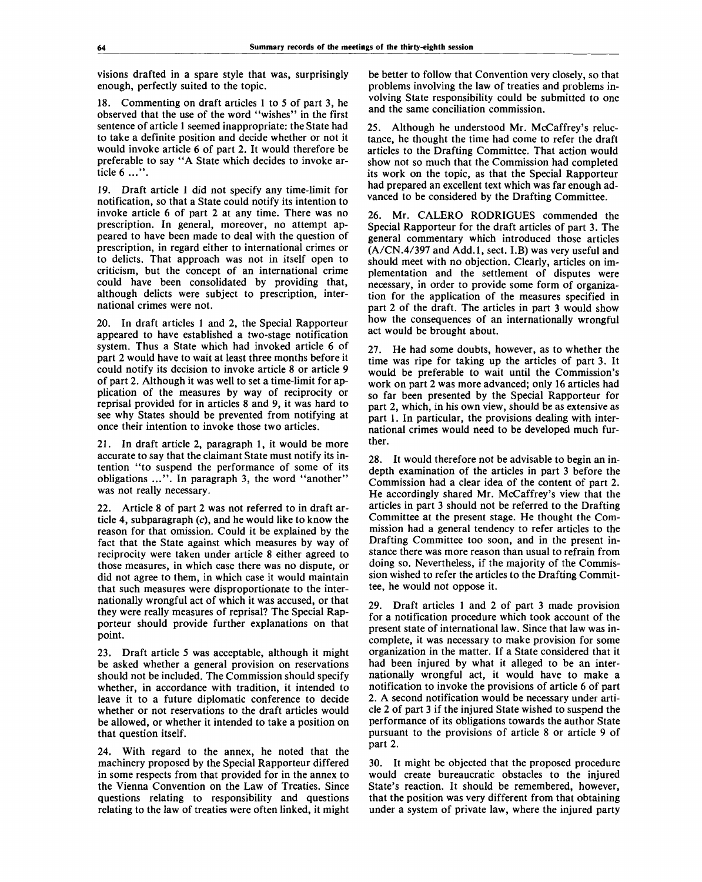visions drafted in a spare style that was, surprisingly enough, perfectly suited to the topic.

18. Commenting on draft articles 1 to 5 of part 3, he observed that the use of the word "wishes" in the first sentence of article 1 seemed inappropriate: the State had to take a definite position and decide whether or not it would invoke article 6 of part 2. It would therefore be preferable to say "A State which decides to invoke article 6 ...".

19. Draft article 1 did not specify any time-limit for notification, so that a State could notify its intention to invoke article 6 of part 2 at any time. There was no prescription. In general, moreover, no attempt appeared to have been made to deal with the question of prescription, in regard either to international crimes or to delicts. That approach was not in itself open to criticism, but the concept of an international crime could have been consolidated by providing that, although delicts were subject to prescription, international crimes were not.

20. In draft articles 1 and 2, the Special Rapporteur appeared to have established a two-stage notification system. Thus a State which had invoked article 6 of part 2 would have to wait at least three months before it could notify its decision to invoke article 8 or article 9 of part 2. Although it was well to set a time-limit for application of the measures by way of reciprocity or reprisal provided for in articles 8 and 9, it was hard to see why States should be prevented from notifying at once their intention to invoke those two articles.

21. In draft article 2, paragraph 1, it would be more accurate to say that the claimant State must notify its intention "to suspend the performance of some of its obligations ...". In paragraph 3, the word "another" was not really necessary.

22. Article 8 of part 2 was not referred to in draft article 4, subparagraph (c), and he would like to know the reason for that omission. Could it be explained by the fact that the State against which measures by way of reciprocity were taken under article 8 either agreed to those measures, in which case there was no dispute, or did not agree to them, in which case it would maintain that such measures were disproportionate to the internationally wrongful act of which it was accused, or that they were really measures of reprisal? The Special Rapporteur should provide further explanations on that point.

23. Draft article 5 was acceptable, although it might be asked whether a general provision on reservations should not be included. The Commission should specify whether, in accordance with tradition, it intended to leave it to a future diplomatic conference to decide whether or not reservations to the draft articles would be allowed, or whether it intended to take a position on that question itself.

24. With regard to the annex, he noted that the machinery proposed by the Special Rapporteur differed in some respects from that provided for in the annex to the Vienna Convention on the Law of Treaties. Since questions relating to responsibility and questions relating to the law of treaties were often linked, it might be better to follow that Convention very closely, so that problems involving the law of treaties and problems involving State responsibility could be submitted to one and the same conciliation commission.

25. Although he understood Mr. McCaffrey's reluctance, he thought the time had come to refer the draft articles to the Drafting Committee. That action would show not so much that the Commission had completed its work on the topic, as that the Special Rapporteur had prepared an excellent text which was far enough advanced to be considered by the Drafting Committee.

26. Mr. CALERO RODRIGUES commended the Special Rapporteur for the draft articles of part 3. The general commentary which introduced those articles (A/CN.4/397 and Add.l, sect. I.B) was very useful and should meet with no objection. Clearly, articles on implementation and the settlement of disputes were necessary, in order to provide some form of organization for the application of the measures specified in part 2 of the draft. The articles in part 3 would show how the consequences of an internationally wrongful act would be brought about.

27. He had some doubts, however, as to whether the time was ripe for taking up the articles of part 3. It would be preferable to wait until the Commission's work on part 2 was more advanced; only 16 articles had so far been presented by the Special Rapporteur for part 2, which, in his own view, should be as extensive as part 1. In particular, the provisions dealing with international crimes would need to be developed much further.

28. It would therefore not be advisable to begin an indepth examination of the articles in part 3 before the Commission had a clear idea of the content of part 2. He accordingly shared Mr. McCaffrey's view that the articles in part 3 should not be referred to the Drafting Committee at the present stage. He thought the Commission had a general tendency to refer articles to the Drafting Committee too soon, and in the present instance there was more reason than usual to refrain from doing so. Nevertheless, if the majority of the Commission wished to refer the articles to the Drafting Committee, he would not oppose it.

29. Draft articles 1 and 2 of part 3 made provision for a notification procedure which took account of the present state of international law. Since that law was incomplete, it was necessary to make provision for some organization in the matter. If a State considered that it had been injured by what it alleged to be an internationally wrongful act, it would have to make a notification to invoke the provisions of article 6 of part 2. A second notification would be necessary under article 2 of part 3 if the injured State wished to suspend the performance of its obligations towards the author State pursuant to the provisions of article 8 or article 9 of part 2.

30. It might be objected that the proposed procedure would create bureaucratic obstacles to the injured State's reaction. It should be remembered, however, that the position was very different from that obtaining under a system of private law, where the injured party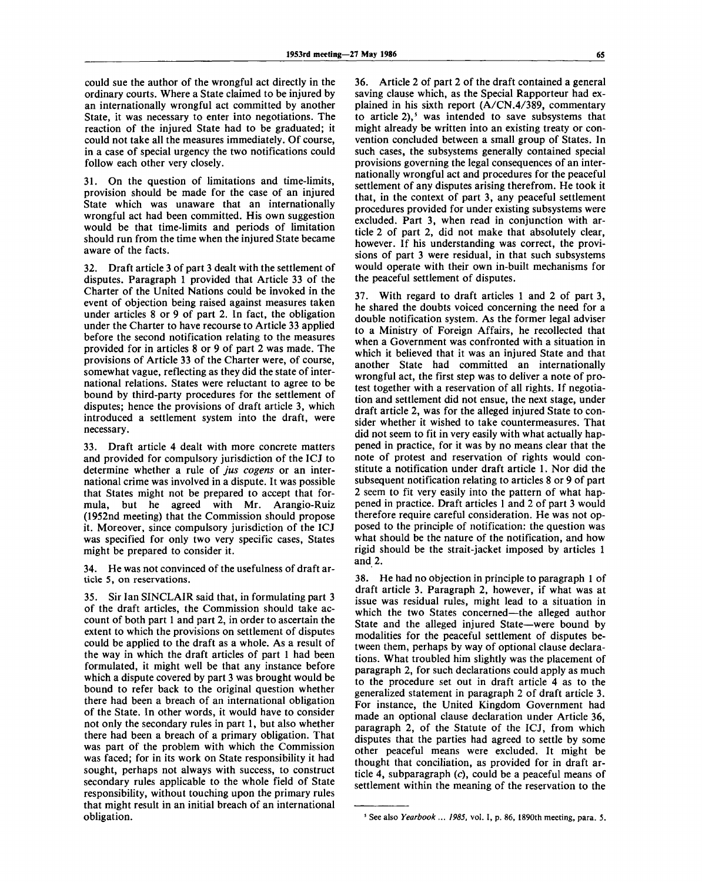could sue the author of the wrongful act directly in the ordinary courts. Where a State claimed to be injured by an internationally wrongful act committed by another State, it was necessary to enter into negotiations. The reaction of the injured State had to be graduated; it could not take all the measures immediately. Of course, in a case of special urgency the two notifications could follow each other very closely.

31. On the question of limitations and time-limits, provision should be made for the case of an injured State which was unaware that an internationally wrongful act had been committed. His own suggestion would be that time-limits and periods of limitation should run from the time when the injured State became aware of the facts.

32. Draft article 3 of part 3 dealt with the settlement of disputes. Paragraph 1 provided that Article 33 of the Charter of the United Nations could be invoked in the event of objection being raised against measures taken under articles 8 or 9 of part 2. In fact, the obligation under the Charter to have recourse to Article 33 applied before the second notification relating to the measures provided for in articles 8 or 9 of part 2 was made. The provisions of Article 33 of the Charter were, of course, somewhat vague, reflecting as they did the state of international relations. States were reluctant to agree to be bound by third-party procedures for the settlement of disputes; hence the provisions of draft article 3, which introduced a settlement system into the draft, were necessary.

33. Draft article 4 dealt with more concrete matters and provided for compulsory jurisdiction of the ICJ to determine whether a rule of *jus cogens* or an international crime was involved in a dispute. It was possible that States might not be prepared to accept that formula, but he agreed with Mr. Arangio-Ruiz (1952nd meeting) that the Commission should propose it. Moreover, since compulsory jurisdiction of the ICJ was specified for only two very specific cases, States might be prepared to consider it.

34. He was not convinced of the usefulness of draft article 5, on reservations.

35. Sir Ian SINCLAIR said that, in formulating part 3 of the draft articles, the Commission should take account of both part 1 and part 2, in order to ascertain the extent to which the provisions on settlement of disputes could be applied to the draft as a whole. As a result of the way in which the draft articles of part 1 had been formulated, it might well be that any instance before which a dispute covered by part 3 was brought would be bound to refer back to the original question whether there had been a breach of an international obligation of the State. In other words, it would have to consider not only the secondary rules in part 1, but also whether there had been a breach of a primary obligation. That was part of the problem with which the Commission was faced; for in its work on State responsibility it had sought, perhaps not always with success, to construct secondary rules applicable to the whole field of State responsibility, without touching upon the primary rules that might result in an initial breach of an international obligation.

36. Article 2 of part 2 of the draft contained a general saving clause which, as the Special Rapporteur had explained in his sixth report (A/CN.4/389, commentary to article 2),<sup>5</sup> was intended to save subsystems that might already be written into an existing treaty or convention concluded between a small group of States. In such cases, the subsystems generally contained special provisions governing the legal consequences of an internationally wrongful act and procedures for the peaceful settlement of any disputes arising therefrom. He took it that, in the context of part 3, any peaceful settlement procedures provided for under existing subsystems were excluded. Part 3, when read in conjunction with article 2 of part 2, did not make that absolutely clear, however. If his understanding was correct, the provisions of part 3 were residual, in that such subsystems would operate with their own in-built mechanisms for the peaceful settlement of disputes.

37. With regard to draft articles 1 and 2 of part 3, he shared the doubts voiced concerning the need for a double notification system. As the former legal adviser to a Ministry of Foreign Affairs, he recollected that when a Government was confronted with a situation in which it believed that it was an injured State and that another State had committed an internationally wrongful act, the first step was to deliver a note of protest together with a reservation of all rights. If negotiation and settlement did not ensue, the next stage, under draft article 2, was for the alleged injured State to consider whether it wished to take countermeasures. That did not seem to fit in very easily with what actually happened in practice, for it was by no means clear that the note of protest and reservation of rights would constitute a notification under draft article 1. Nor did the subsequent notification relating to articles 8 or 9 of part 2 seem to fit very easily into the pattern of what happened in practice. Draft articles 1 and 2 of part 3 would therefore require careful consideration. He was not opposed to the principle of notification: the question was what should be the nature of the notification, and how rigid should be the strait-jacket imposed by articles 1 and 2.

38. He had no objection in principle to paragraph 1 of draft article 3. Paragraph 2, however, if what was at issue was residual rules, might lead to a situation in which the two States concerned—the alleged author State and the alleged injured State—were bound by modalities for the peaceful settlement of disputes between them, perhaps by way of optional clause declarations. What troubled him slightly was the placement of paragraph 2, for such declarations could apply as much to the procedure set out in draft article 4 as to the generalized statement in paragraph 2 of draft article 3. For instance, the United Kingdom Government had made an optional clause declaration under Article 36, paragraph 2, of the Statute of the ICJ, from which disputes that the parties had agreed to settle by some other peaceful means were excluded. It might be thought that conciliation, as provided for in draft article 4, subparagraph  $(c)$ , could be a peaceful means of settlement within the meaning of the reservation to the

<sup>&</sup>lt;sup>3</sup> See also Yearbook ... 1985, vol. I, p. 86, 1890th meeting, para. 5.